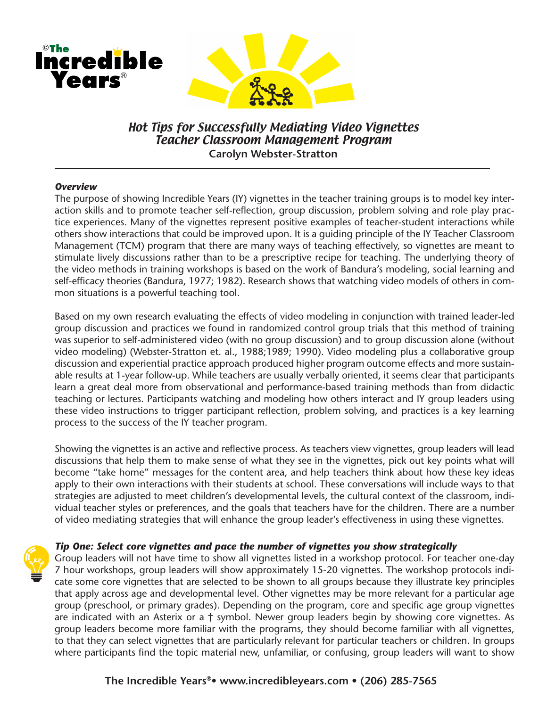

# Hot Tips for Successfully Mediating Video Vignettes Teacher Classroom Management Program **Carolyn Webster-Stratton**

#### *Overview*

The purpose of showing Incredible Years (IY) vignettes in the teacher training groups is to model key interaction skills and to promote teacher self-reflection, group discussion, problem solving and role play practice experiences. Many of the vignettes represent positive examples of teacher-student interactions while others show interactions that could be improved upon. It is a guiding principle of the IY Teacher Classroom Management (TCM) program that there are many ways of teaching effectively, so vignettes are meant to stimulate lively discussions rather than to be a prescriptive recipe for teaching. The underlying theory of the video methods in training workshops is based on the work of Bandura's modeling, social learning and self-efficacy theories (Bandura, 1977; 1982). Research shows that watching video models of others in common situations is a powerful teaching tool.

Based on my own research evaluating the effects of video modeling in conjunction with trained leader-led group discussion and practices we found in randomized control group trials that this method of training was superior to self-administered video (with no group discussion) and to group discussion alone (without video modeling) (Webster-Stratton et. al., 1988;1989; 1990). Video modeling plus a collaborative group discussion and experiential practice approach produced higher program outcome effects and more sustainable results at 1-year follow-up. While teachers are usually verbally oriented, it seems clear that participants learn a great deal more from observational and performance-based training methods than from didactic teaching or lectures. Participants watching and modeling how others interact and IY group leaders using these video instructions to trigger participant reflection, problem solving, and practices is a key learning process to the success of the IY teacher program.

Showing the vignettes is an active and reflective process. As teachers view vignettes, group leaders will lead discussions that help them to make sense of what they see in the vignettes, pick out key points what will become "take home" messages for the content area, and help teachers think about how these key ideas apply to their own interactions with their students at school. These conversations will include ways to that strategies are adjusted to meet children's developmental levels, the cultural context of the classroom, individual teacher styles or preferences, and the goals that teachers have for the children. There are a number of video mediating strategies that will enhance the group leader's effectiveness in using these vignettes.

# *Tip One: Select core vignettes and pace the number of vignettes you show strategically*

Group leaders will not have time to show all vignettes listed in a workshop protocol. For teacher one-day 7 hour workshops, group leaders will show approximately 15-20 vignettes. The workshop protocols indicate some core vignettes that are selected to be shown to all groups because they illustrate key principles that apply across age and developmental level. Other vignettes may be more relevant for a particular age group (preschool, or primary grades). Depending on the program, core and specific age group vignettes are indicated with an Asterix or a † symbol. Newer group leaders begin by showing core vignettes. As group leaders become more familiar with the programs, they should become familiar with all vignettes, to that they can select vignettes that are particularly relevant for particular teachers or children. In groups where participants find the topic material new, unfamiliar, or confusing, group leaders will want to show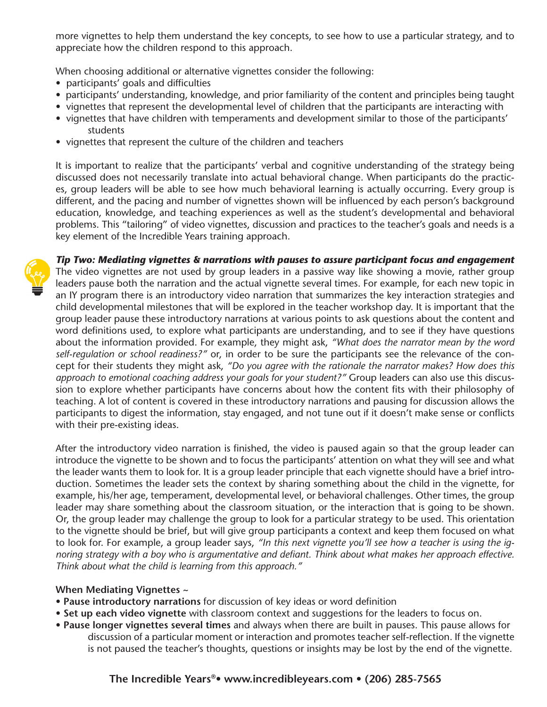more vignettes to help them understand the key concepts, to see how to use a particular strategy, and to appreciate how the children respond to this approach.

When choosing additional or alternative vignettes consider the following:

- participants' goals and difficulties
- participants' understanding, knowledge, and prior familiarity of the content and principles being taught
- vignettes that represent the developmental level of children that the participants are interacting with
- vignettes that have children with temperaments and development similar to those of the participants' students
- vignettes that represent the culture of the children and teachers

It is important to realize that the participants' verbal and cognitive understanding of the strategy being discussed does not necessarily translate into actual behavioral change. When participants do the practices, group leaders will be able to see how much behavioral learning is actually occurring. Every group is different, and the pacing and number of vignettes shown will be influenced by each person's background education, knowledge, and teaching experiences as well as the student's developmental and behavioral problems. This "tailoring" of video vignettes, discussion and practices to the teacher's goals and needs is a key element of the Incredible Years training approach.



*Tip Two: Mediating vignettes & narrations with pauses to assure participant focus and engagement* The video vignettes are not used by group leaders in a passive way like showing a movie, rather group leaders pause both the narration and the actual vignette several times. For example, for each new topic in an IY program there is an introductory video narration that summarizes the key interaction strategies and child developmental milestones that will be explored in the teacher workshop day. It is important that the group leader pause these introductory narrations at various points to ask questions about the content and word definitions used, to explore what participants are understanding, and to see if they have questions about the information provided. For example, they might ask, *"What does the narrator mean by the word self-regulation or school readiness?"* or, in order to be sure the participants see the relevance of the concept for their students they might ask, *"Do you agree with the rationale the narrator makes? How does this approach to emotional coaching address your goals for your student?"* Group leaders can also use this discussion to explore whether participants have concerns about how the content fits with their philosophy of teaching. A lot of content is covered in these introductory narrations and pausing for discussion allows the participants to digest the information, stay engaged, and not tune out if it doesn't make sense or conflicts with their pre-existing ideas.

After the introductory video narration is finished, the video is paused again so that the group leader can introduce the vignette to be shown and to focus the participants' attention on what they will see and what the leader wants them to look for. It is a group leader principle that each vignette should have a brief introduction. Sometimes the leader sets the context by sharing something about the child in the vignette, for example, his/her age, temperament, developmental level, or behavioral challenges. Other times, the group leader may share something about the classroom situation, or the interaction that is going to be shown. Or, the group leader may challenge the group to look for a particular strategy to be used. This orientation to the vignette should be brief, but will give group participants a context and keep them focused on what to look for. For example, a group leader says, *"In this next vignette you'll see how a teacher is using the ignoring strategy with a boy who is argumentative and defiant. Think about what makes her approach effective. Think about what the child is learning from this approach."*

# **When Mediating Vignettes ~**

- **Pause introductory narrations** for discussion of key ideas or word definition
- **Set up each video vignette** with classroom context and suggestions for the leaders to focus on.
- **Pause longer vignettes several times** and always when there are built in pauses. This pause allows for discussion of a particular moment or interaction and promotes teacher self-reflection. If the vignette is not paused the teacher's thoughts, questions or insights may be lost by the end of the vignette.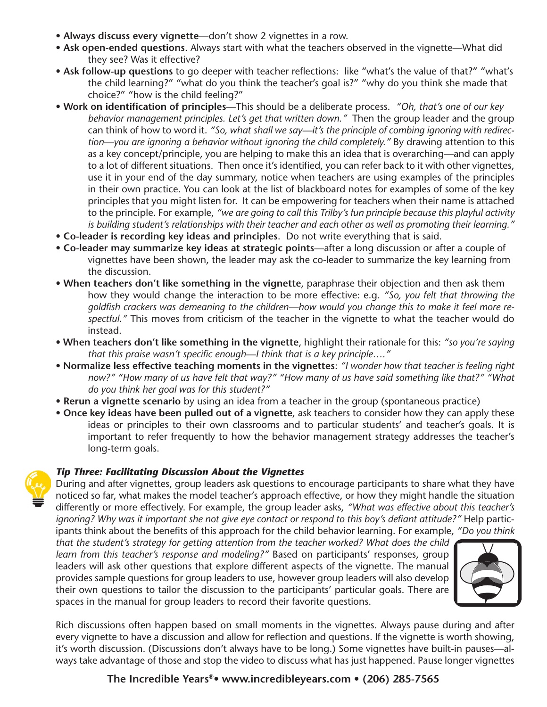- **Always discuss every vignette**—don't show 2 vignettes in a row.
- **Ask open-ended questions**. Always start with what the teachers observed in the vignette—What did they see? Was it effective?
- **Ask follow-up questions** to go deeper with teacher reflections: like "what's the value of that?" "what's the child learning?" "what do you think the teacher's goal is?" "why do you think she made that choice?" "how is the child feeling?"
- **Work on identification of principles**—This should be a deliberate process. *"Oh, that's one of our key behavior management principles. Let's get that written down."* Then the group leader and the group can think of how to word it. *"So, what shall we say—it's the principle of combing ignoring with redirection—you are ignoring a behavior without ignoring the child completely."* By drawing attention to this as a key concept/principle, you are helping to make this an idea that is overarching—and can apply to a lot of different situations. Then once it's identified, you can refer back to it with other vignettes, use it in your end of the day summary, notice when teachers are using examples of the principles in their own practice. You can look at the list of blackboard notes for examples of some of the key principles that you might listen for. It can be empowering for teachers when their name is attached to the principle. For example, *"we are going to call this Trilby's fun principle because this playful activity is building student's relationships with their teacher and each other as well as promoting their learning."*
- **Co-leader is recording key ideas and principles**. Do not write everything that is said.
- **Co-leader may summarize key ideas at strategic points**—after a long discussion or after a couple of vignettes have been shown, the leader may ask the co-leader to summarize the key learning from the discussion.
- **When teachers don't like something in the vignette**, paraphrase their objection and then ask them how they would change the interaction to be more effective: e.g. *"So, you felt that throwing the goldfish crackers was demeaning to the children—how would you change this to make it feel more respectful."* This moves from criticism of the teacher in the vignette to what the teacher would do instead.
- **When teachers don't like something in the vignette**, highlight their rationale for this: *"so you're saying that this praise wasn't specific enough—I think that is a key principle…."*
- **Normalize less effective teaching moments in the vignettes**: *"I wonder how that teacher is feeling right now?" "How many of us have felt that way?" "How many of us have said something like that?" "What do you think her goal was for this student?"*
- **Rerun a vignette scenario** by using an idea from a teacher in the group (spontaneous practice)
- **Once key ideas have been pulled out of a vignette**, ask teachers to consider how they can apply these ideas or principles to their own classrooms and to particular students' and teacher's goals. It is important to refer frequently to how the behavior management strategy addresses the teacher's long-term goals.

# *Tip Three: Facilitating Discussion About the Vignettes*

During and after vignettes, group leaders ask questions to encourage participants to share what they have noticed so far, what makes the model teacher's approach effective, or how they might handle the situation differently or more effectively. For example, the group leader asks, *"What was effective about this teacher's ignoring? Why was it important she not give eye contact or respond to this boy's defiant attitude?"* Help participants think about the benefits of this approach for the child behavior learning. For example, *"Do you think* 

*that the student's strategy for getting attention from the teacher worked? What does the child learn from this teacher's response and modeling?"* Based on participants' responses, group leaders will ask other questions that explore different aspects of the vignette. The manual provides sample questions for group leaders to use, however group leaders will also develop their own questions to tailor the discussion to the participants' particular goals. There are spaces in the manual for group leaders to record their favorite questions.



Rich discussions often happen based on small moments in the vignettes. Always pause during and after every vignette to have a discussion and allow for reflection and questions. If the vignette is worth showing, it's worth discussion. (Discussions don't always have to be long.) Some vignettes have built-in pauses—always take advantage of those and stop the video to discuss what has just happened. Pause longer vignettes

**The Incredible Years®• www.incredibleyears.com • (206) 285-7565**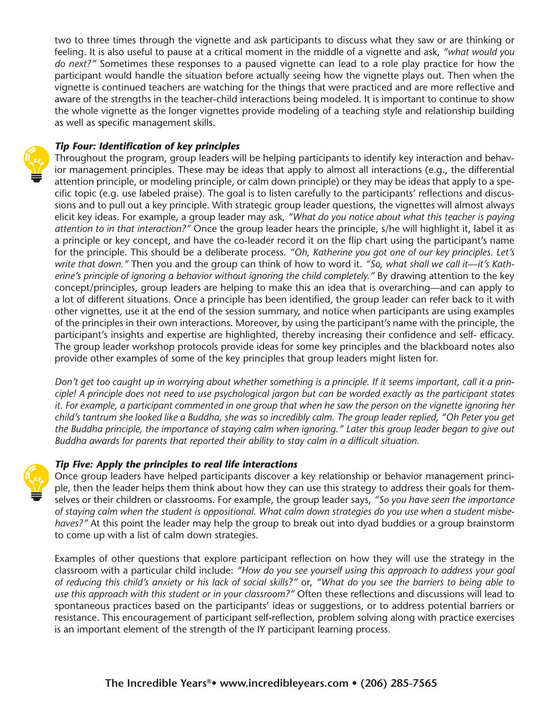two to three times through the vignette and ask participants to discuss what they saw or are thinking or feeling. It is also useful to pause at a critical moment in the middle of a vignette and ask, *"what would you do next?"* Sometimes these responses to a paused vignette can lead to a role play practice for how the participant would handle the situation before actually seeing how the vignette plays out. Then when the vignette is continued teachers are watching for the things that were practiced and are more reflective and aware of the strengths in the teacher-child interactions being modeled. It is important to continue to show the whole vignette as the longer vignettes provide modeling of a teaching style and relationship building as well as specific management skills.

# *Tip Four: Identification of key principles*

Throughout the program, group leaders will be helping participants to identify key interaction and behavior management principles. These may be ideas that apply to almost all interactions (e.g., the differential attention principle, or modeling principle, or calm down principle) or they may be ideas that apply to a specific topic (e.g. use labeled praise). The goal is to listen carefully to the participants' reflections and discussions and to pull out a key principle. With strategic group leader questions, the vignettes will almost always elicit key ideas. For example, a group leader may ask, *"What do you notice about what this teacher is paying attention to in that interaction?"* Once the group leader hears the principle, s/he will highlight it, label it as a principle or key concept, and have the co-leader record it on the flip chart using the participant's name for the principle. This should be a deliberate process. *"Oh, Katherine you got one of our key principles. Let's write that down."* Then you and the group can think of how to word it. *"So, what shall we call it—it's Katherine's principle of ignoring a behavior without ignoring the child completely."* By drawing attention to the key concept/principles, group leaders are helping to make this an idea that is overarching—and can apply to a lot of different situations. Once a principle has been identified, the group leader can refer back to it with other vignettes, use it at the end of the session summary, and notice when participants are using examples of the principles in their own interactions. Moreover, by using the participant's name with the principle, the participant's insights and expertise are highlighted, thereby increasing their confidence and self- efficacy. The group leader workshop protocols provide ideas for some key principles and the blackboard notes also provide other examples of some of the key principles that group leaders might listen for.

*Don't get too caught up in worrying about whether something is a principle. If it seems important, call it a principle! A principle does not need to use psychological jargon but can be worded exactly as the participant states it. For example, a participant commented in one group that when he saw the person on the vignette ignoring her child's tantrum she looked like a Buddha, she was so incredibly calm. The group leader replied, "Oh Peter you get the Buddha principle, the importance of staying calm when ignoring." Later this group leader began to give out Buddha awards for parents that reported their ability to stay calm in a difficult situation.*

# *Tip Five: Apply the principles to real life interactions*



Once group leaders have helped participants discover a key relationship or behavior management principle, then the leader helps them think about how they can use this strategy to address their goals for themselves or their children or classrooms. For example, the group leader says, *"So you have seen the importance of staying calm when the student is oppositional. What calm down strategies do you use when a student misbehaves?"* At this point the leader may help the group to break out into dyad buddies or a group brainstorm to come up with a list of calm down strategies.

Examples of other questions that explore participant reflection on how they will use the strategy in the classroom with a particular child include: *"How do you see yourself using this approach to address your goal of reducing this child's anxiety or his lack of social skills?"* or, *"What do you see the barriers to being able to use this approach with this student or in your classroom?"* Often these reflections and discussions will lead to spontaneous practices based on the participants' ideas or suggestions, or to address potential barriers or resistance. This encouragement of participant self-reflection, problem solving along with practice exercises is an important element of the strength of the IY participant learning process.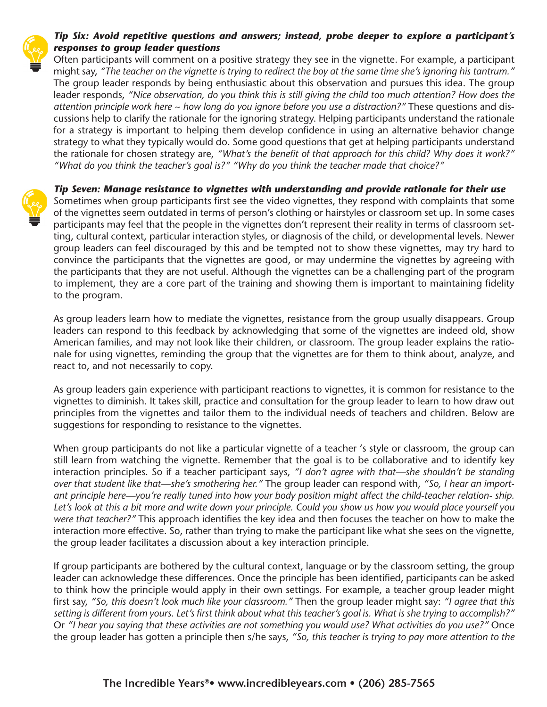

# *Tip Six: Avoid repetitive questions and answers; instead, probe deeper to explore a participant's responses to group leader questions*

Often participants will comment on a positive strategy they see in the vignette. For example, a participant might say, *"The teacher on the vignette is trying to redirect the boy at the same time she's ignoring his tantrum."* The group leader responds by being enthusiastic about this observation and pursues this idea. The group leader responds, *"Nice observation, do you think this is still giving the child too much attention? How does the attention principle work here ~ how long do you ignore before you use a distraction?"* These questions and discussions help to clarify the rationale for the ignoring strategy. Helping participants understand the rationale for a strategy is important to helping them develop confidence in using an alternative behavior change strategy to what they typically would do. Some good questions that get at helping participants understand the rationale for chosen strategy are, *"What's the benefit of that approach for this child? Why does it work?" "What do you think the teacher's goal is?" "Why do you think the teacher made that choice?"*

*Tip Seven: Manage resistance to vignettes with understanding and provide rationale for their use* Sometimes when group participants first see the video vignettes, they respond with complaints that some of the vignettes seem outdated in terms of person's clothing or hairstyles or classroom set up. In some cases participants may feel that the people in the vignettes don't represent their reality in terms of classroom setting, cultural context, particular interaction styles, or diagnosis of the child, or developmental levels. Newer group leaders can feel discouraged by this and be tempted not to show these vignettes, may try hard to convince the participants that the vignettes are good, or may undermine the vignettes by agreeing with the participants that they are not useful. Although the vignettes can be a challenging part of the program to implement, they are a core part of the training and showing them is important to maintaining fidelity to the program.

As group leaders learn how to mediate the vignettes, resistance from the group usually disappears. Group leaders can respond to this feedback by acknowledging that some of the vignettes are indeed old, show American families, and may not look like their children, or classroom. The group leader explains the rationale for using vignettes, reminding the group that the vignettes are for them to think about, analyze, and react to, and not necessarily to copy.

As group leaders gain experience with participant reactions to vignettes, it is common for resistance to the vignettes to diminish. It takes skill, practice and consultation for the group leader to learn to how draw out principles from the vignettes and tailor them to the individual needs of teachers and children. Below are suggestions for responding to resistance to the vignettes.

When group participants do not like a particular vignette of a teacher 's style or classroom, the group can still learn from watching the vignette. Remember that the goal is to be collaborative and to identify key interaction principles. So if a teacher participant says, *"I don't agree with that—she shouldn't be standing over that student like that—she's smothering her."* The group leader can respond with, *"So, I hear an important principle here—you're really tuned into how your body position might affect the child-teacher relation- ship. Let's look at this a bit more and write down your principle. Could you show us how you would place yourself you were that teacher?"* This approach identifies the key idea and then focuses the teacher on how to make the interaction more effective. So, rather than trying to make the participant like what she sees on the vignette, the group leader facilitates a discussion about a key interaction principle.

If group participants are bothered by the cultural context, language or by the classroom setting, the group leader can acknowledge these differences. Once the principle has been identified, participants can be asked to think how the principle would apply in their own settings. For example, a teacher group leader might first say, *"So, this doesn't look much like your classroom."* Then the group leader might say: *"I agree that this setting is different from yours. Let's first think about what this teacher's goal is. What is she trying to accomplish?"* Or *"I hear you saying that these activities are not something you would use? What activities do you use?"* Once the group leader has gotten a principle then s/he says, *"So, this teacher is trying to pay more attention to the*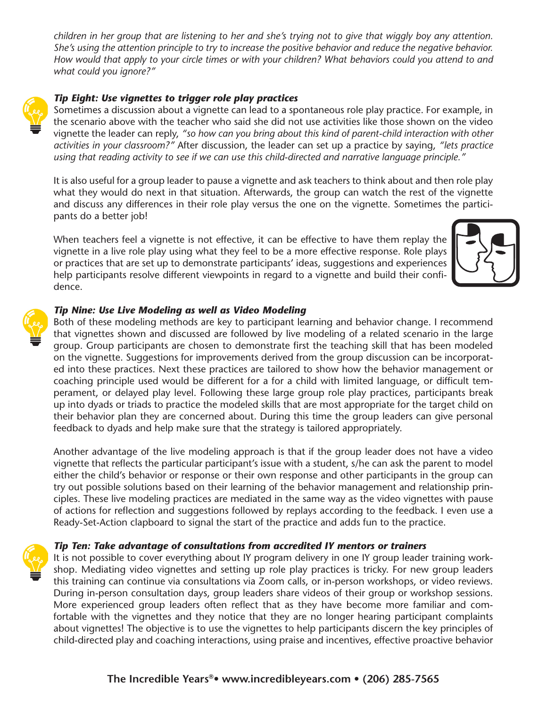*children in her group that are listening to her and she's trying not to give that wiggly boy any attention. She's using the attention principle to try to increase the positive behavior and reduce the negative behavior. How would that apply to your circle times or with your children? What behaviors could you attend to and what could you ignore?"*



Sometimes a discussion about a vignette can lead to a spontaneous role play practice. For example, in the scenario above with the teacher who said she did not use activities like those shown on the video vignette the leader can reply, *"so how can you bring about this kind of parent-child interaction with other activities in your classroom?"* After discussion, the leader can set up a practice by saying, *"lets practice using that reading activity to see if we can use this child-directed and narrative language principle."*

It is also useful for a group leader to pause a vignette and ask teachers to think about and then role play what they would do next in that situation. Afterwards, the group can watch the rest of the vignette and discuss any differences in their role play versus the one on the vignette. Sometimes the participants do a better job!

When teachers feel a vignette is not effective, it can be effective to have them replay the vignette in a live role play using what they feel to be a more effective response. Role plays or practices that are set up to demonstrate participants' ideas, suggestions and experiences help participants resolve different viewpoints in regard to a vignette and build their confidence.



# *Tip Nine: Use Live Modeling as well as Video Modeling*

Both of these modeling methods are key to participant learning and behavior change. I recommend that vignettes shown and discussed are followed by live modeling of a related scenario in the large group. Group participants are chosen to demonstrate first the teaching skill that has been modeled on the vignette. Suggestions for improvements derived from the group discussion can be incorporated into these practices. Next these practices are tailored to show how the behavior management or coaching principle used would be different for a for a child with limited language, or difficult temperament, or delayed play level. Following these large group role play practices, participants break up into dyads or triads to practice the modeled skills that are most appropriate for the target child on their behavior plan they are concerned about. During this time the group leaders can give personal feedback to dyads and help make sure that the strategy is tailored appropriately.

Another advantage of the live modeling approach is that if the group leader does not have a video vignette that reflects the particular participant's issue with a student, s/he can ask the parent to model either the child's behavior or response or their own response and other participants in the group can try out possible solutions based on their learning of the behavior management and relationship principles. These live modeling practices are mediated in the same way as the video vignettes with pause of actions for reflection and suggestions followed by replays according to the feedback. I even use a Ready-Set-Action clapboard to signal the start of the practice and adds fun to the practice.

# *Tip Ten: Take advantage of consultations from accredited IY mentors or trainers*

It is not possible to cover everything about IY program delivery in one IY group leader training workshop. Mediating video vignettes and setting up role play practices is tricky. For new group leaders this training can continue via consultations via Zoom calls, or in-person workshops, or video reviews. During in-person consultation days, group leaders share videos of their group or workshop sessions. More experienced group leaders often reflect that as they have become more familiar and comfortable with the vignettes and they notice that they are no longer hearing participant complaints about vignettes! The objective is to use the vignettes to help participants discern the key principles of child-directed play and coaching interactions, using praise and incentives, effective proactive behavior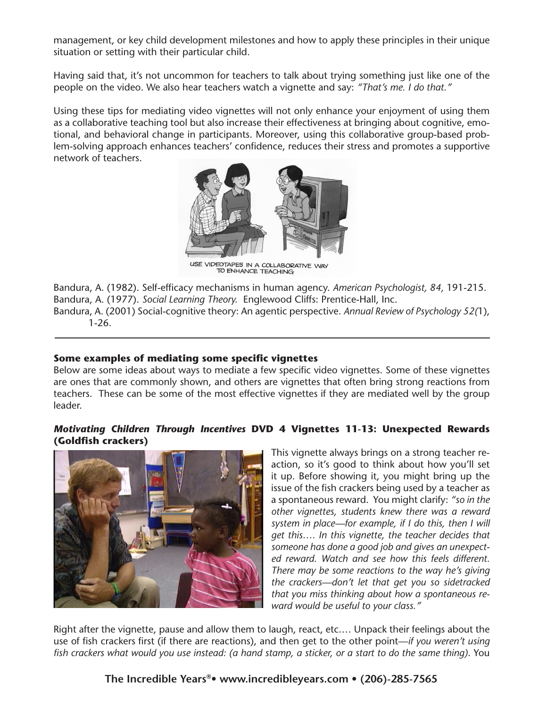management, or key child development milestones and how to apply these principles in their unique situation or setting with their particular child.

Having said that, it's not uncommon for teachers to talk about trying something just like one of the people on the video. We also hear teachers watch a vignette and say: *"That's me. I do that."*

Using these tips for mediating video vignettes will not only enhance your enjoyment of using them as a collaborative teaching tool but also increase their effectiveness at bringing about cognitive, emotional, and behavioral change in participants. Moreover, using this collaborative group-based problem-solving approach enhances teachers' confidence, reduces their stress and promotes a supportive network of teachers.



USE VIDEOTAPES IN A COLLABORATIVE WAY<br>TO ENHANCE TEACHING

Bandura, A. (1982). Self-efficacy mechanisms in human agency. *American Psychologist, 84,* 191-215. Bandura, A. (1977). *Social Learning Theory.* Englewood Cliffs: Prentice-Hall, Inc.

Bandura, A. (2001) Social-cognitive theory: An agentic perspective. *Annual Review of Psychology 52(*1), 1-26.

# **Some examples of mediating some specific vignettes**

Below are some ideas about ways to mediate a few specific video vignettes. Some of these vignettes are ones that are commonly shown, and others are vignettes that often bring strong reactions from teachers. These can be some of the most effective vignettes if they are mediated well by the group leader.

# *Motivating Children Through Incentives* **DVD 4 Vignettes 11-13: Unexpected Rewards (Goldfish crackers)**



This vignette always brings on a strong teacher reaction, so it's good to think about how you'll set it up. Before showing it, you might bring up the issue of the fish crackers being used by a teacher as a spontaneous reward. You might clarify: *"so in the other vignettes, students knew there was a reward system in place—for example, if I do this, then I will get this…. In this vignette, the teacher decides that someone has done a good job and gives an unexpected reward. Watch and see how this feels different. There may be some reactions to the way he's giving the crackers—don't let that get you so sidetracked that you miss thinking about how a spontaneous reward would be useful to your class."*

Right after the vignette, pause and allow them to laugh, react, etc.… Unpack their feelings about the use of fish crackers first (if there are reactions), and then get to the other point—*if you weren't using fish crackers what would you use instead: (a hand stamp, a sticker, or a start to do the same thing)*. You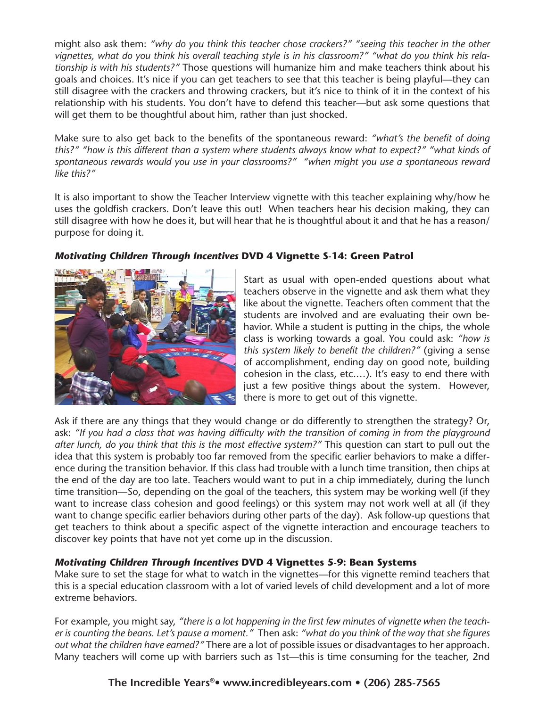might also ask them: *"why do you think this teacher chose crackers?" "seeing this teacher in the other vignettes, what do you think his overall teaching style is in his classroom?" "what do you think his relationship is with his students?"* Those questions will humanize him and make teachers think about his goals and choices. It's nice if you can get teachers to see that this teacher is being playful—they can still disagree with the crackers and throwing crackers, but it's nice to think of it in the context of his relationship with his students. You don't have to defend this teacher—but ask some questions that will get them to be thoughtful about him, rather than just shocked.

Make sure to also get back to the benefits of the spontaneous reward: *"what's the benefit of doing this?" "how is this different than a system where students always know what to expect?" "what kinds of spontaneous rewards would you use in your classrooms?" "when might you use a spontaneous reward like this?"*

It is also important to show the Teacher Interview vignette with this teacher explaining why/how he uses the goldfish crackers. Don't leave this out! When teachers hear his decision making, they can still disagree with how he does it, but will hear that he is thoughtful about it and that he has a reason/ purpose for doing it.

# *Motivating Children Through Incentives* **DVD 4 Vignette S-14: Green Patrol**



Start as usual with open-ended questions about what teachers observe in the vignette and ask them what they like about the vignette. Teachers often comment that the students are involved and are evaluating their own behavior. While a student is putting in the chips, the whole class is working towards a goal. You could ask: *"how is this system likely to benefit the children?"* (giving a sense of accomplishment, ending day on good note, building cohesion in the class, etc.…). It's easy to end there with just a few positive things about the system. However, there is more to get out of this vignette.

Ask if there are any things that they would change or do differently to strengthen the strategy? Or, ask: *"If you had a class that was having difficulty with the transition of coming in from the playground after lunch, do you think that this is the most effective system?"* This question can start to pull out the idea that this system is probably too far removed from the specific earlier behaviors to make a difference during the transition behavior. If this class had trouble with a lunch time transition, then chips at the end of the day are too late. Teachers would want to put in a chip immediately, during the lunch time transition—So, depending on the goal of the teachers, this system may be working well (if they want to increase class cohesion and good feelings) or this system may not work well at all (if they want to change specific earlier behaviors during other parts of the day). Ask follow-up questions that get teachers to think about a specific aspect of the vignette interaction and encourage teachers to discover key points that have not yet come up in the discussion.

# *Motivating Children Through Incentives* **DVD 4 Vignettes 5-9: Bean Systems**

Make sure to set the stage for what to watch in the vignettes—for this vignette remind teachers that this is a special education classroom with a lot of varied levels of child development and a lot of more extreme behaviors.

For example, you might say, *"there is a lot happening in the first few minutes of vignette when the teacher is counting the beans. Let's pause a moment."* Then ask: *"what do you think of the way that she figures out what the children have earned?"* There are a lot of possible issues or disadvantages to her approach. Many teachers will come up with barriers such as 1st—this is time consuming for the teacher, 2nd

# **The Incredible Years®• www.incredibleyears.com • (206) 285-7565**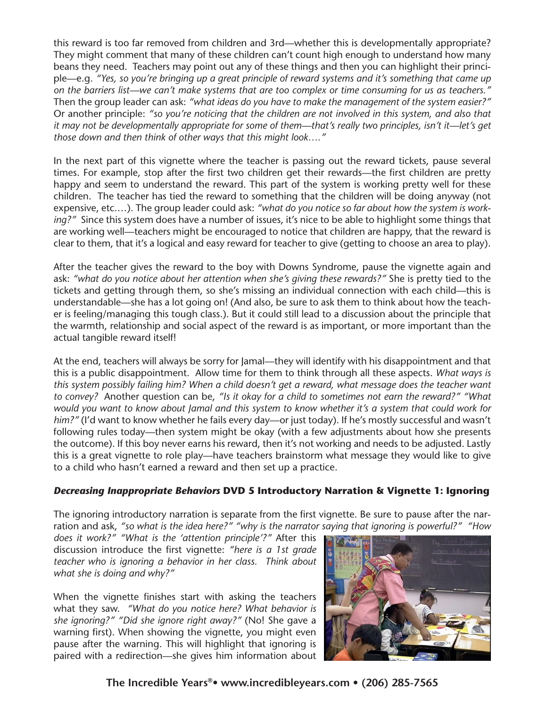this reward is too far removed from children and 3rd—whether this is developmentally appropriate? They might comment that many of these children can't count high enough to understand how many beans they need. Teachers may point out any of these things and then you can highlight their principle—e.g. *"Yes, so you're bringing up a great principle of reward systems and it's something that came up on the barriers list—we can't make systems that are too complex or time consuming for us as teachers."* Then the group leader can ask: *"what ideas do you have to make the management of the system easier?"* Or another principle: *"so you're noticing that the children are not involved in this system, and also that it may not be developmentally appropriate for some of them—that's really two principles, isn't it—let's get those down and then think of other ways that this might look…."* 

In the next part of this vignette where the teacher is passing out the reward tickets, pause several times. For example, stop after the first two children get their rewards—the first children are pretty happy and seem to understand the reward. This part of the system is working pretty well for these children. The teacher has tied the reward to something that the children will be doing anyway (not expensive, etc.…). The group leader could ask: *"what do you notice so far about how the system is working?"* Since this system does have a number of issues, it's nice to be able to highlight some things that are working well—teachers might be encouraged to notice that children are happy, that the reward is clear to them, that it's a logical and easy reward for teacher to give (getting to choose an area to play).

After the teacher gives the reward to the boy with Downs Syndrome, pause the vignette again and ask: *"what do you notice about her attention when she's giving these rewards?"* She is pretty tied to the tickets and getting through them, so she's missing an individual connection with each child—this is understandable—she has a lot going on! (And also, be sure to ask them to think about how the teacher is feeling/managing this tough class.). But it could still lead to a discussion about the principle that the warmth, relationship and social aspect of the reward is as important, or more important than the actual tangible reward itself!

At the end, teachers will always be sorry for Jamal—they will identify with his disappointment and that this is a public disappointment. Allow time for them to think through all these aspects. *What ways is this system possibly failing him? When a child doesn't get a reward, what message does the teacher want to convey?* Another question can be, *"Is it okay for a child to sometimes not earn the reward?" "What would you want to know about Jamal and this system to know whether it's a system that could work for him?"* (I'd want to know whether he fails every day—or just today). If he's mostly successful and wasn't following rules today—then system might be okay (with a few adjustments about how she presents the outcome). If this boy never earns his reward, then it's not working and needs to be adjusted. Lastly this is a great vignette to role play—have teachers brainstorm what message they would like to give to a child who hasn't earned a reward and then set up a practice.

# *Decreasing Inappropriate Behaviors* **DVD 5 Introductory Narration & Vignette 1: Ignoring**

The ignoring introductory narration is separate from the first vignette. Be sure to pause after the narration and ask, *"so what is the idea here?" "why is the narrator saying that ignoring is powerful?" "How* 

*does it work?" "What is the 'attention principle'?"* After this discussion introduce the first vignette: *"here is a 1st grade teacher who is ignoring a behavior in her class. Think about what she is doing and why?"*

When the vignette finishes start with asking the teachers what they saw. *"What do you notice here? What behavior is she ignoring?" "Did she ignore right away?"* (No! She gave a warning first). When showing the vignette, you might even pause after the warning. This will highlight that ignoring is paired with a redirection—she gives him information about



**The Incredible Years®• www.incredibleyears.com • (206) 285-7565**